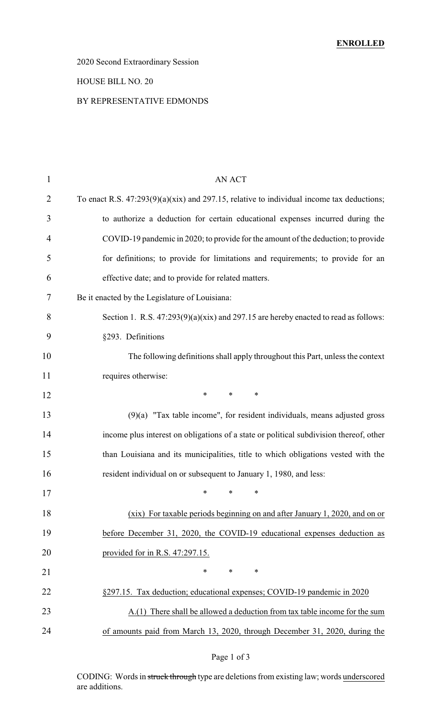# 2020 Second Extraordinary Session

### HOUSE BILL NO. 20

### BY REPRESENTATIVE EDMONDS

| $\mathbf{1}$ | <b>AN ACT</b>                                                                               |
|--------------|---------------------------------------------------------------------------------------------|
| 2            | To enact R.S. $47:293(9)(a)(xix)$ and 297.15, relative to individual income tax deductions; |
| 3            | to authorize a deduction for certain educational expenses incurred during the               |
| 4            | COVID-19 pandemic in 2020; to provide for the amount of the deduction; to provide           |
| 5            | for definitions; to provide for limitations and requirements; to provide for an             |
| 6            | effective date; and to provide for related matters.                                         |
| 7            | Be it enacted by the Legislature of Louisiana:                                              |
| 8            | Section 1. R.S. $47:293(9)(a)(xix)$ and 297.15 are hereby enacted to read as follows:       |
| 9            | §293. Definitions                                                                           |
| 10           | The following definitions shall apply throughout this Part, unless the context              |
| 11           | requires otherwise:                                                                         |
| 12           | $\ast$<br>$\ast$<br>$\ast$                                                                  |
| 13           | $(9)(a)$ "Tax table income", for resident individuals, means adjusted gross                 |
| 14           | income plus interest on obligations of a state or political subdivision thereof, other      |
| 15           | than Louisiana and its municipalities, title to which obligations vested with the           |
| 16           | resident individual on or subsequent to January 1, 1980, and less:                          |
| 17           | $*$ * *                                                                                     |
| 18           | (xix) For taxable periods beginning on and after January 1, 2020, and on or                 |
| 19           | before December 31, 2020, the COVID-19 educational expenses deduction as                    |
| 20           | provided for in R.S. 47:297.15.                                                             |
| 21           | *<br>*<br>∗                                                                                 |
| 22           | §297.15. Tax deduction; educational expenses; COVID-19 pandemic in 2020                     |
| 23           | A.(1) There shall be allowed a deduction from tax table income for the sum                  |
| 24           | of amounts paid from March 13, 2020, through December 31, 2020, during the                  |

## Page 1 of 3

CODING: Words in struck through type are deletions from existing law; words underscored are additions.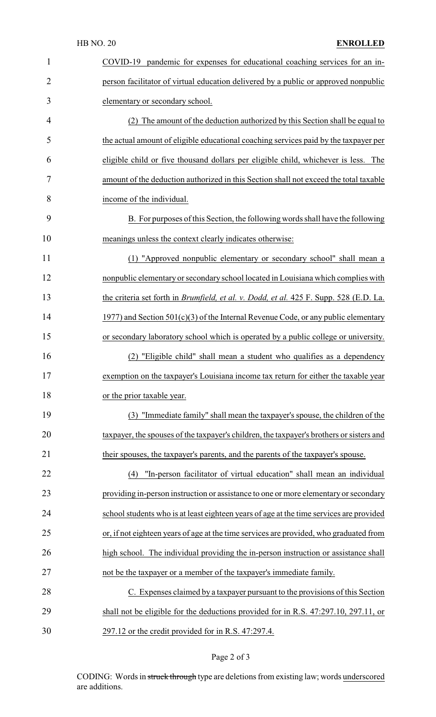| $\mathbf{1}$   | COVID-19<br>pandemic for expenses for educational coaching services for an in-                |
|----------------|-----------------------------------------------------------------------------------------------|
| $\overline{2}$ | person facilitator of virtual education delivered by a public or approved nonpublic           |
| 3              | elementary or secondary school.                                                               |
| 4              | (2) The amount of the deduction authorized by this Section shall be equal to                  |
| 5              | the actual amount of eligible educational coaching services paid by the taxpayer per          |
| 6              | eligible child or five thousand dollars per eligible child, whichever is less. The            |
| 7              | amount of the deduction authorized in this Section shall not exceed the total taxable         |
| 8              | income of the individual.                                                                     |
| 9              | B. For purposes of this Section, the following words shall have the following                 |
| 10             | meanings unless the context clearly indicates otherwise:                                      |
| 11             | (1) "Approved nonpublic elementary or secondary school" shall mean a                          |
| 12             | nonpublic elementary or secondary school located in Louisiana which complies with             |
| 13             | the criteria set forth in <i>Brumfield, et al. v. Dodd, et al.</i> 425 F. Supp. 528 (E.D. La. |
| 14             | 1977) and Section $501(c)(3)$ of the Internal Revenue Code, or any public elementary          |
| 15             | or secondary laboratory school which is operated by a public college or university.           |
| 16             | "Eligible child" shall mean a student who qualifies as a dependency                           |
| 17             | exemption on the taxpayer's Louisiana income tax return for either the taxable year           |
| 18             | or the prior taxable year.                                                                    |
| 19             | (3) "Immediate family" shall mean the taxpayer's spouse, the children of the                  |
| 20             | taxpayer, the spouses of the taxpayer's children, the taxpayer's brothers or sisters and      |
| 21             | their spouses, the taxpayer's parents, and the parents of the taxpayer's spouse.              |
| 22             | "In-person facilitator of virtual education" shall mean an individual<br>(4)                  |
| 23             | providing in-person instruction or assistance to one or more elementary or secondary          |
| 24             | school students who is at least eighteen years of age at the time services are provided       |
| 25             | or, if not eighteen years of age at the time services are provided, who graduated from        |
| 26             | high school. The individual providing the in-person instruction or assistance shall           |
| 27             | not be the taxpayer or a member of the taxpayer's immediate family.                           |
| 28             | C. Expenses claimed by a taxpayer pursuant to the provisions of this Section                  |
| 29             | shall not be eligible for the deductions provided for in R.S. 47:297.10, 297.11, or           |
| 30             | 297.12 or the credit provided for in R.S. 47:297.4.                                           |

# Page 2 of 3

CODING: Words in struck through type are deletions from existing law; words underscored are additions.